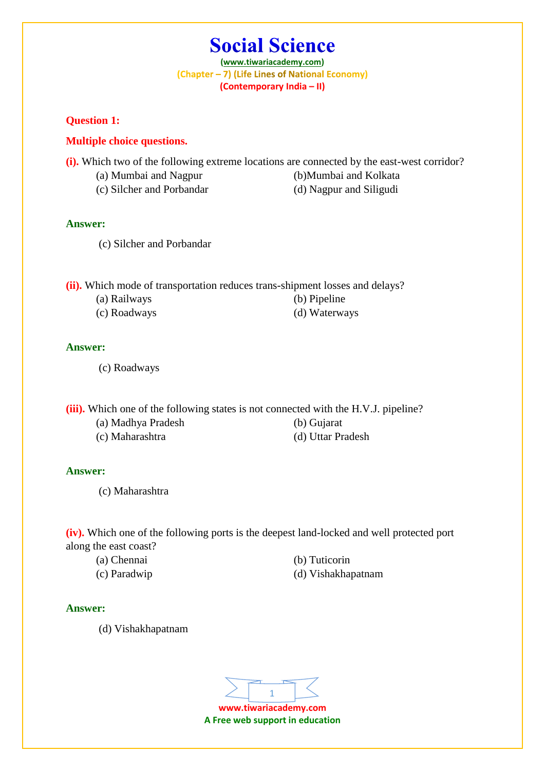**(www.tiwariacademy.com)** (Chapter - 7) (Life Lines of National Economy) **(Contemporary India – II)**

**Question 1:**

#### **Multiple choice questions.**

**(i).** Which two of the following extreme locations are connected by the east-west corridor?

- (a) Mumbai and Nagpur (b)Mumbai and Kolkata
- (c) Silcher and Porbandar (d) Nagpur and Siligudi
- 

- **Answer:**
	- (c) Silcher and Porbandar

**(ii).** Which mode of transportation reduces trans-shipment losses and delays?

- (a) Railways (b) Pipeline
- 
- 
- (c) Roadways (d) Waterways

#### **Answer:**

(c) Roadways

**(iii).** Which one of the following states is not connected with the H.V.J. pipeline?

- (a) Madhya Pradesh (b) Gujarat
- 
- 
- (c) Maharashtra (d) Uttar Pradesh

#### **Answer:**

(c) Maharashtra

**(iv).** Which one of the following ports is the deepest land-locked and well protected port along the east coast?

- 
- 
- (a) Chennai (b) Tuticorin
- (c) Paradwip (d) Vishakhapatnam

#### **Answer:**

(d) Vishakhapatnam

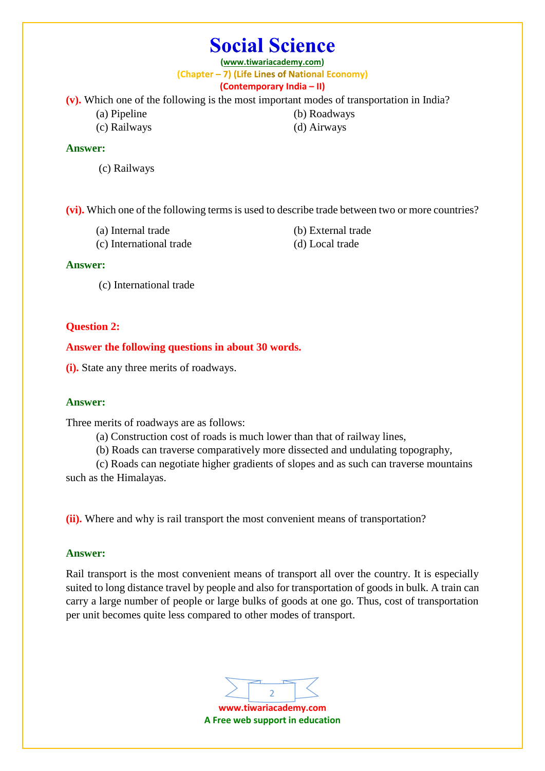**(www.tiwariacademy.com)** (Chapter - 7) (Life Lines of National Economy) **(Contemporary India – II)**

**(v).** Which one of the following is the most important modes of transportation in India?

- 
- (c) Railways (d) Airways

(a) Pipeline (b) Roadways

#### **Answer:**

(c) Railways

**(vi).** Which one of the following terms is used to describe trade between two or more countries?

- (a) Internal trade (b) External trade
- (c) International trade (d) Local trade
- 

#### **Answer:**

(c) International trade

## **Question 2:**

**Answer the following questions in about 30 words.**

**(i).** State any three merits of roadways.

## **Answer:**

Three merits of roadways are as follows:

- (a) Construction cost of roads is much lower than that of railway lines,
- (b) Roads can traverse comparatively more dissected and undulating topography,

(c) Roads can negotiate higher gradients of slopes and as such can traverse mountains such as the Himalayas.

**(ii).** Where and why is rail transport the most convenient means of transportation?

## **Answer:**

Rail transport is the most convenient means of transport all over the country. It is especially suited to long distance travel by people and also for transportation of goods in bulk. A train can carry a large number of people or large bulks of goods at one go. Thus, cost of transportation per unit becomes quite less compared to other modes of transport.

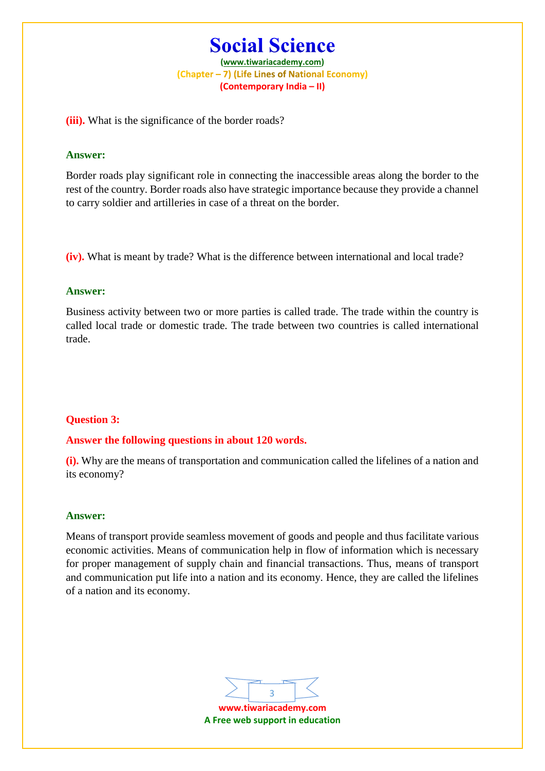**(www.tiwariacademy.com)** (Chapter - 7) (Life Lines of National Economy) **(Contemporary India – II)**

**(iii).** What is the significance of the border roads?

#### **Answer:**

Border roads play significant role in connecting the inaccessible areas along the border to the rest of the country. Border roads also have strategic importance because they provide a channel to carry soldier and artilleries in case of a threat on the border.

**(iv).** What is meant by trade? What is the difference between international and local trade?

#### **Answer:**

Business activity between two or more parties is called trade. The trade within the country is called local trade or domestic trade. The trade between two countries is called international trade.

#### **Question 3:**

#### **Answer the following questions in about 120 words.**

**(i).** Why are the means of transportation and communication called the lifelines of a nation and its economy?

#### **Answer:**

Means of transport provide seamless movement of goods and people and thus facilitate various economic activities. Means of communication help in flow of information which is necessary for proper management of supply chain and financial transactions. Thus, means of transport and communication put life into a nation and its economy. Hence, they are called the lifelines of a nation and its economy.

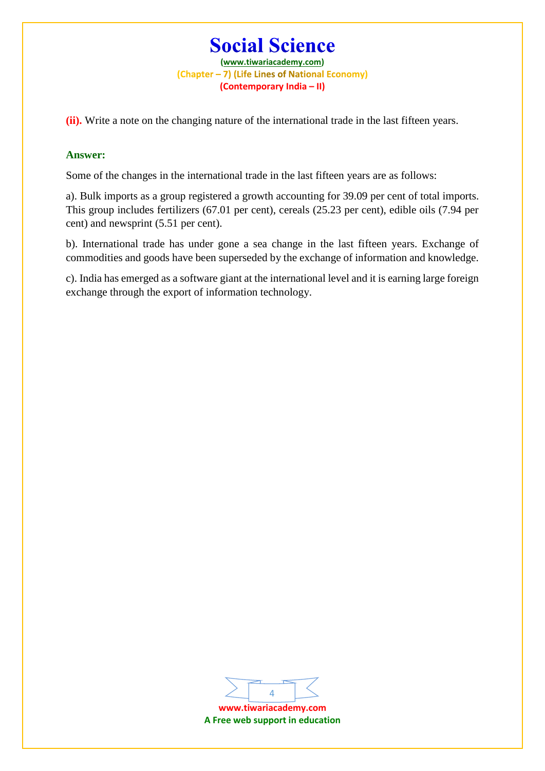**(www.tiwariacademy.com)** (Chapter - 7) (Life Lines of National Economy) **(Contemporary India – II)**

**(ii).** Write a note on the changing nature of the international trade in the last fifteen years.

### **Answer:**

Some of the changes in the international trade in the last fifteen years are as follows:

a). Bulk imports as a group registered a growth accounting for 39.09 per cent of total imports. This group includes fertilizers (67.01 per cent), cereals (25.23 per cent), edible oils (7.94 per cent) and newsprint (5.51 per cent).

b). International trade has under gone a sea change in the last fifteen years. Exchange of commodities and goods have been superseded by the exchange of information and knowledge.

c). India has emerged as a software giant at the international level and it is earning large foreign exchange through the export of information technology.

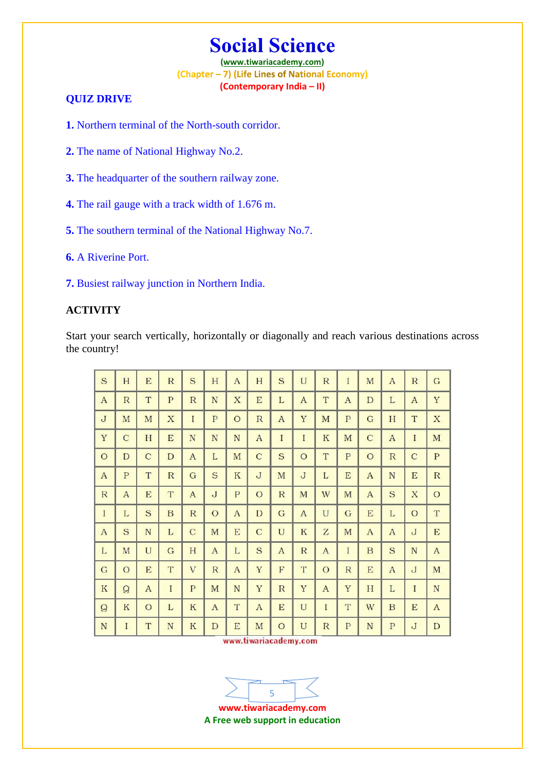**(www.tiwariacademy.com)** (Chapter - 7) (Life Lines of National Economy) **(Contemporary India – II)**

## **QUIZ DRIVE**

**1.** Northern terminal of the North-south corridor.

- **2.** The name of National Highway No.2.
- **3.** The headquarter of the southern railway zone.
- **4.** The rail gauge with a track width of 1.676 m.
- **5.** The southern terminal of the National Highway No.7.
- **6.** A Riverine Port.
- **7.** Busiest railway junction in Northern India.

## **ACTIVITY**

Start your search vertically, horizontally or diagonally and reach various destinations across the country!

| S                         | H             | E            | ${\mathbf R}$ | S            | H              | $\mathbf{A}$ | H                           | S            | U              | R            | I              | M                | $\mathbf{A}$ | R            | G                         |
|---------------------------|---------------|--------------|---------------|--------------|----------------|--------------|-----------------------------|--------------|----------------|--------------|----------------|------------------|--------------|--------------|---------------------------|
| $\mathbf{A}$              | R             | T            | $\mathbf{P}$  | R            | N              | $\mathbf X$  | $\mathbf E$                 | L            | $\mathbf{A}$   | T            | $\mathbf{A}$   | $\mathbf D$      | L            | $\mathbf{A}$ | Y                         |
| $\mathbf{J}$              | $\mathbf M$   | M            | $\mathbf X$   | $\rm I$      | $\mathbf{P}$   | $\circ$      | R                           | $\mathbf{A}$ | Y              | M            | P              | G                | H            | T            | $\boldsymbol{\mathrm{X}}$ |
| Y                         | $\mathbf C$   | H            | E             | N            | N              | N            | $\boldsymbol{A}$            | $\mathbf I$  | $\overline{I}$ | $\rm K$      | M              | $\mathbf C$      | $\mathbf{A}$ | L            | M                         |
| $\circ$                   | $\mathbf D$   | $\mathbf C$  | D             | $\mathbf{A}$ | L              | M            | $\mathcal{C}$               | S            | $\circ$        | T            | P              | $\circ$          | $\mathbb{R}$ | $\mathbf C$  | ${\bf P}$                 |
| $\mathbf{A}$              | P             | T            | $\mathbb{R}$  | G            | S              | $\mathbf K$  | J                           | M            | $\mathbf{J}$   | L            | E              | $\mathbf{A}$     | N            | E            | $\mathbb{R}$              |
| ${\mathbf R}$             | $\mathbf{A}$  | $\mathbf E$  | T             | $\mathbf{A}$ | $\mathbf{J}$   | $\mathbf{P}$ | $\circ$                     | $\mathbb{R}$ | M              | W            | M              | $\mathbf{A}$     | S            | X            | $\circ$                   |
| $\rm I$                   | L             | S            | $\, {\bf B}$  | R            | $\overline{O}$ | $\mathbf{A}$ | $\mathbf D$                 | G            | $\mathbf{A}$   | U            | G              | E                | L            | $\circ$      | T                         |
| $\boldsymbol{\mathrm{A}}$ | $\mathbf S$   | N            | L             | $\mathbf C$  | M              | $\mathbf E$  | $\mathbf C$                 | U            | $\rm K$        | Z            | M              | $\mathbf{A}$     | $\mathbf{A}$ | J            | $\mathbf E$               |
| L                         | M             | U            | G             | H            | $\mathbf{A}$   | L            | S                           | $\mathbf{A}$ | R              | $\mathbf{A}$ | $\overline{I}$ | $\boldsymbol{B}$ | S            | ${\bf N}$    | $\mathbf{A}$              |
| ${\bf G}$                 | $\circ$       | E            | T             | V            | $\mathbb{R}$   | $\mathbf{A}$ | Y                           | F            | T              | $\circ$      | R              | E                | $\mathbf{A}$ | $\mathbf{J}$ | $\mathbf M$               |
| $\rm K$                   | ${\mathsf Q}$ | $\mathbf{A}$ | $\mathbf I$   | ${\bf P}$    | M              | N            | Y                           | $\mathbb{R}$ | Y              | A            | Y              | H                | L            | I            | ${\bf N}$                 |
| $\mathsf{Q}$              | $\rm K$       | $\circ$      | L             | ${\bf K}$    | $\mathbf{A}$   | T            | A                           | ${\bf E}$    | U              | $\mathbf I$  | T              | W                | B            | E            | A                         |
| ${\bf N}$                 | $\rm I$       | T            | ${\bf N}$     | ${\bf K}$    | $\mathbf D$    | E            | M<br>unny tiwayiacadomy com | $\circ$      | U              | $\mathbb{R}$ | $\mathbf P$    | $\mathbf N$      | $\mathbf{P}$ | $\mathbf{J}$ | D                         |

www.tiwariacademy.com



**www.tiwariacademy.com A Free web support in education**